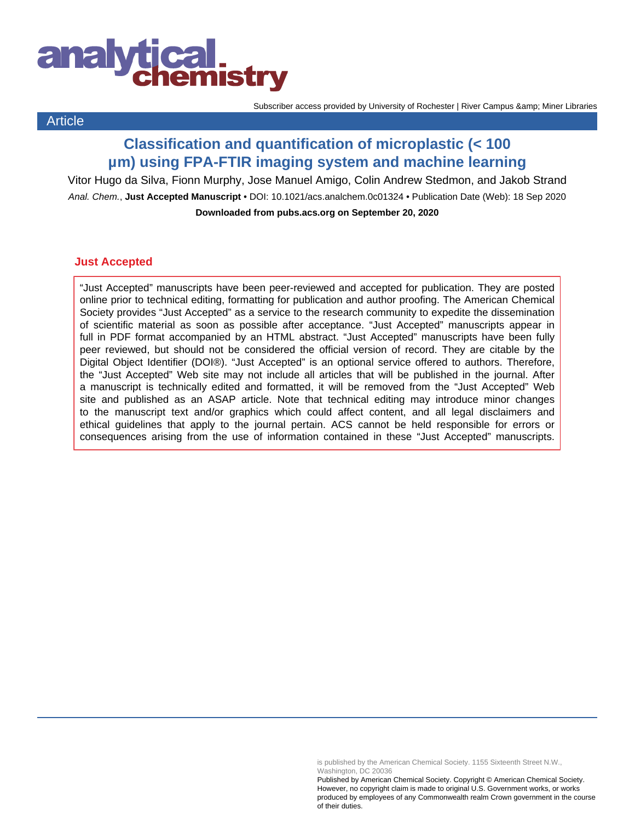

**Article** 

Subscriber access provided by University of Rochester | River Campus & amp; Miner Libraries

## **Classification and quantification of microplastic (< 100 µm) using FPA-FTIR imaging system and machine learning**

Vitor Hugo da Silva, Fionn Murphy, Jose Manuel Amigo, Colin Andrew Stedmon, and Jakob Strand Anal. Chem., **Just Accepted Manuscript** • DOI: 10.1021/acs.analchem.0c01324 • Publication Date (Web): 18 Sep 2020 **Downloaded from pubs.acs.org on September 20, 2020**

### **Just Accepted**

"Just Accepted" manuscripts have been peer-reviewed and accepted for publication. They are posted online prior to technical editing, formatting for publication and author proofing. The American Chemical Society provides "Just Accepted" as a service to the research community to expedite the dissemination of scientific material as soon as possible after acceptance. "Just Accepted" manuscripts appear in full in PDF format accompanied by an HTML abstract. "Just Accepted" manuscripts have been fully peer reviewed, but should not be considered the official version of record. They are citable by the Digital Object Identifier (DOI®). "Just Accepted" is an optional service offered to authors. Therefore, the "Just Accepted" Web site may not include all articles that will be published in the journal. After a manuscript is technically edited and formatted, it will be removed from the "Just Accepted" Web site and published as an ASAP article. Note that technical editing may introduce minor changes to the manuscript text and/or graphics which could affect content, and all legal disclaimers and ethical guidelines that apply to the journal pertain. ACS cannot be held responsible for errors or consequences arising from the use of information contained in these "Just Accepted" manuscripts.

is published by the American Chemical Society. 1155 Sixteenth Street N.W., Washington, DC 20036

Published by American Chemical Society. Copyright © American Chemical Society. However, no copyright claim is made to original U.S. Government works, or works produced by employees of any Commonwealth realm Crown government in the course of their duties.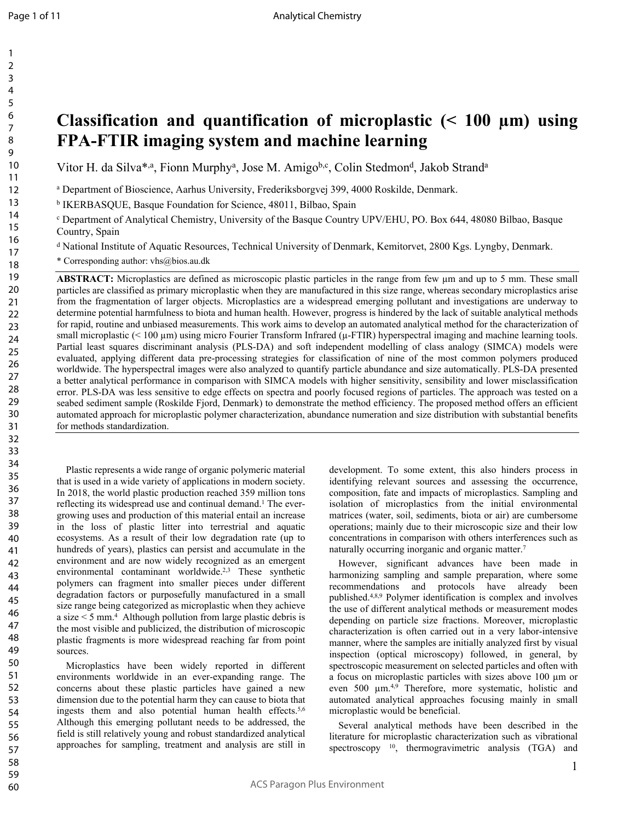# **Classification and quantification of microplastic (< 100 µm) using FPA-FTIR imaging system and machine learning**

Vitor H. da Silva\*,<sup>a</sup>, Fionn Murphy<sup>a</sup>, Jose M. Amigo<sup>b,c</sup>, Colin Stedmon<sup>d</sup>, Jakob Strand<sup>a</sup>

a Department of Bioscience, Aarhus University, Frederiksborgvej 399, 4000 Roskilde, Denmark.

b IKERBASQUE, Basque Foundation for Science, 48011, Bilbao, Spain

c Department of Analytical Chemistry, University of the Basque Country UPV/EHU, PO. Box 644, 48080 Bilbao, Basque Country, Spain

d National Institute of Aquatic Resources, Technical University of Denmark, Kemitorvet, 2800 Kgs. Lyngby, Denmark.

\* Corresponding author: vhs@bios.au.dk

**ABSTRACT:** Microplastics are defined as microscopic plastic particles in the range from few  $\mu$ m and up to 5 mm. These small particles are classified as primary microplastic when they are manufactured in this size range, whereas secondary microplastics arise from the fragmentation of larger objects. Microplastics are a widespread emerging pollutant and investigations are underway to determine potential harmfulness to biota and human health. However, progress is hindered by the lack of suitable analytical methods for rapid, routine and unbiased measurements. This work aims to develop an automated analytical method for the characterization of small microplastic (< 100 µm) using micro Fourier Transform Infrared (µ-FTIR) hyperspectral imaging and machine learning tools. Partial least squares discriminant analysis (PLS-DA) and soft independent modelling of class analogy (SIMCA) models were evaluated, applying different data pre-processing strategies for classification of nine of the most common polymers produced worldwide. The hyperspectral images were also analyzed to quantify particle abundance and size automatically. PLS-DA presented a better analytical performance in comparison with SIMCA models with higher sensitivity, sensibility and lower misclassification error. PLS-DA was less sensitive to edge effects on spectra and poorly focused regions of particles. The approach was tested on a seabed sediment sample (Roskilde Fjord, Denmark) to demonstrate the method efficiency. The proposed method offers an efficient automated approach for microplastic polymer characterization, abundance numeration and size distribution with substantial benefits for methods standardization.

Plastic represents a wide range of organic polymeric material that is used in a wide variety of applications in modern society. In 2018, the world plastic production reached 359 million tons reflecting its widespread use and continual demand.<sup>1</sup> The evergrowing uses and production of this material entail an increase in the loss of plastic litter into terrestrial and aquatic ecosystems. As a result of their low degradation rate (up to hundreds of years), plastics can persist and accumulate in the environment and are now widely recognized as an emergent environmental contaminant worldwide.<sup>2,3</sup> These synthetic polymers can fragment into smaller pieces under different degradation factors or purposefully manufactured in a small size range being categorized as microplastic when they achieve a size < 5 mm.<sup>4</sup> Although pollution from large plastic debris is the most visible and publicized, the distribution of microscopic plastic fragments is more widespread reaching far from point sources.

Microplastics have been widely reported in different environments worldwide in an ever-expanding range. The concerns about these plastic particles have gained a new dimension due to the potential harm they can cause to biota that ingests them and also potential human health effects.5,6 Although this emerging pollutant needs to be addressed, the field is still relatively young and robust standardized analytical approaches for sampling, treatment and analysis are still in

development. To some extent, this also hinders process in identifying relevant sources and assessing the occurrence, composition, fate and impacts of microplastics. Sampling and isolation of microplastics from the initial environmental matrices (water, soil, sediments, biota or air) are cumbersome operations; mainly due to their microscopic size and their low concentrations in comparison with others interferences such as naturally occurring inorganic and organic matter.<sup>7</sup>

However, significant advances have been made in harmonizing sampling and sample preparation, where some recommendations and protocols have already been published.4,8,9 Polymer identification is complex and involves the use of different analytical methods or measurement modes depending on particle size fractions. Moreover, microplastic characterization is often carried out in a very labor-intensive manner, where the samples are initially analyzed first by visual inspection (optical microscopy) followed, in general, by spectroscopic measurement on selected particles and often with a focus on microplastic particles with sizes above 100 µm or even 500 µm.4,9 Therefore, more systematic, holistic and automated analytical approaches focusing mainly in small microplastic would be beneficial.

Several analytical methods have been described in the literature for microplastic characterization such as vibrational spectroscopy  $10$ , thermogravimetric analysis (TGA) and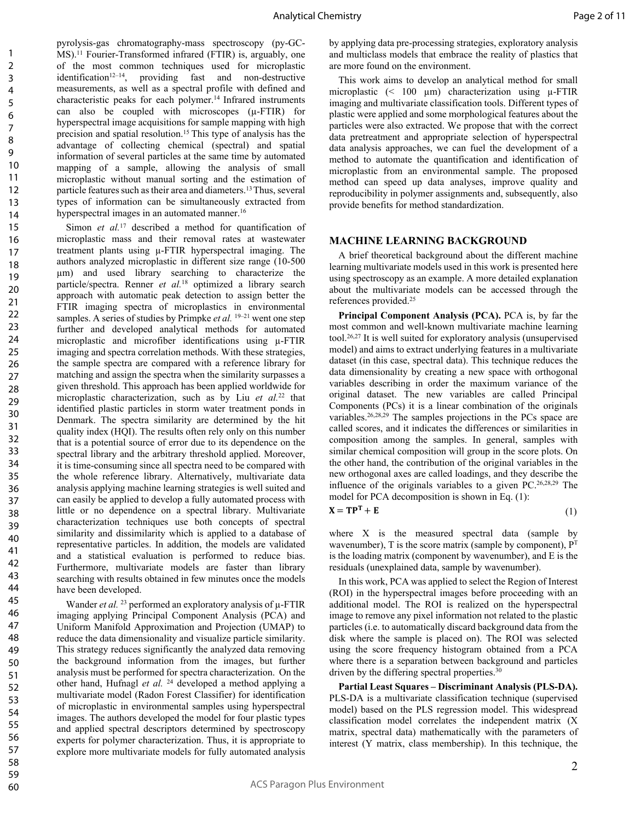pyrolysis-gas chromatography-mass spectroscopy (py-GC-MS).<sup>11</sup> Fourier-Transformed infrared (FTIR) is, arguably, one of the most common techniques used for microplastic identification<sup>12–14</sup>, providing fast and non-destructive measurements, as well as a spectral profile with defined and characteristic peaks for each polymer.<sup>14</sup> Infrared instruments can also be coupled with microscopes (µ-FTIR) for hyperspectral image acquisitions for sample mapping with high precision and spatial resolution.<sup>15</sup>This type of analysis has the advantage of collecting chemical (spectral) and spatial information of several particles at the same time by automated mapping of a sample, allowing the analysis of small microplastic without manual sorting and the estimation of particle features such as their area and diameters.<sup>13</sup>Thus, several types of information can be simultaneously extracted from hyperspectral images in an automated manner.<sup>16</sup>

Simon *et al.*<sup>17</sup> described a method for quantification of microplastic mass and their removal rates at wastewater treatment plants using µ-FTIR hyperspectral imaging. The authors analyzed microplastic in different size range (10-500 µm) and used library searching to characterize the particle/spectra. Renner *et al.*<sup>18</sup> optimized a library search approach with automatic peak detection to assign better the FTIR imaging spectra of microplastics in environmental samples. A series of studies by Primpke *et al.* <sup>19–21</sup> went one step further and developed analytical methods for automated microplastic and microfiber identifications using µ-FTIR imaging and spectra correlation methods. With these strategies, the sample spectra are compared with a reference library for matching and assign the spectra when the similarity surpasses a given threshold. This approach has been applied worldwide for microplastic characterization, such as by Liu *et al.*<sup>22</sup> that identified plastic particles in storm water treatment ponds in Denmark. The spectra similarity are determined by the hit quality index (HQI). The results often rely only on this number that is a potential source of error due to its dependence on the spectral library and the arbitrary threshold applied. Moreover, it is time-consuming since all spectra need to be compared with the whole reference library. Alternatively, multivariate data analysis applying machine learning strategies is well suited and can easily be applied to develop a fully automated process with little or no dependence on a spectral library. Multivariate characterization techniques use both concepts of spectral similarity and dissimilarity which is applied to a database of representative particles. In addition, the models are validated and a statistical evaluation is performed to reduce bias. Furthermore, multivariate models are faster than library searching with results obtained in few minutes once the models have been developed.

Wander *et al.* <sup>23</sup> performed an exploratory analysis of  $\mu$ -FTIR imaging applying Principal Component Analysis (PCA) and Uniform Manifold Approximation and Projection (UMAP) to reduce the data dimensionality and visualize particle similarity. This strategy reduces significantly the analyzed data removing the background information from the images, but further analysis must be performed for spectra characterization. On the other hand, Hufnagl *et al.* <sup>24</sup> developed a method applying a multivariate model (Radon Forest Classifier) for identification of microplastic in environmental samples using hyperspectral images. The authors developed the model for four plastic types and applied spectral descriptors determined by spectroscopy experts for polymer characterization. Thus, it is appropriate to explore more multivariate models for fully automated analysis

by applying data pre-processing strategies, exploratory analysis and multiclass models that embrace the reality of plastics that are more found on the environment.

This work aims to develop an analytical method for small microplastic  $($  100  $\mu$ m) characterization using  $\mu$ -FTIR imaging and multivariate classification tools. Different types of plastic were applied and some morphological features about the particles were also extracted. We propose that with the correct data pretreatment and appropriate selection of hyperspectral data analysis approaches, we can fuel the development of a method to automate the quantification and identification of microplastic from an environmental sample. The proposed method can speed up data analyses, improve quality and reproducibility in polymer assignments and, subsequently, also provide benefits for method standardization.

#### **MACHINE LEARNING BACKGROUND**

A brief theoretical background about the different machine learning multivariate models used in this work is presented here using spectroscopy as an example. A more detailed explanation about the multivariate models can be accessed through the references provided.<sup>25</sup>

**Principal Component Analysis (PCA).** PCA is, by far the most common and well-known multivariate machine learning tool.26,27 It is well suited for exploratory analysis (unsupervised model) and aims to extract underlying features in a multivariate dataset (in this case, spectral data). This technique reduces the data dimensionality by creating a new space with orthogonal variables describing in order the maximum variance of the original dataset. The new variables are called Principal Components (PCs) it is a linear combination of the originals variables.26,28,29 The samples projections in the PCs space are called scores, and it indicates the differences or similarities in composition among the samples. In general, samples with similar chemical composition will group in the score plots. On the other hand, the contribution of the original variables in the new orthogonal axes are called loadings, and they describe the influence of the originals variables to a given PC.26,28,29 The model for PCA decomposition is shown in Eq. (1):  $X = TP<sup>T</sup> +$ 

$$
\mathbf{E} \tag{1}
$$

where X is the measured spectral data (sample by wavenumber),  $T$  is the score matrix (sample by component),  $P<sup>T</sup>$ is the loading matrix (component by wavenumber), and E is the residuals (unexplained data, sample by wavenumber).

In this work, PCA was applied to select the Region of Interest (ROI) in the hyperspectral images before proceeding with an additional model. The ROI is realized on the hyperspectral image to remove any pixel information not related to the plastic particles (i.e. to automatically discard background data from the disk where the sample is placed on). The ROI was selected using the score frequency histogram obtained from a PCA where there is a separation between background and particles driven by the differing spectral properties.<sup>30</sup>

**Partial Least Squares – Discriminant Analysis (PLS-DA).** PLS-DA is a multivariate classification technique (supervised model) based on the PLS regression model. This widespread classification model correlates the independent matrix (X matrix, spectral data) mathematically with the parameters of interest (Y matrix, class membership). In this technique, the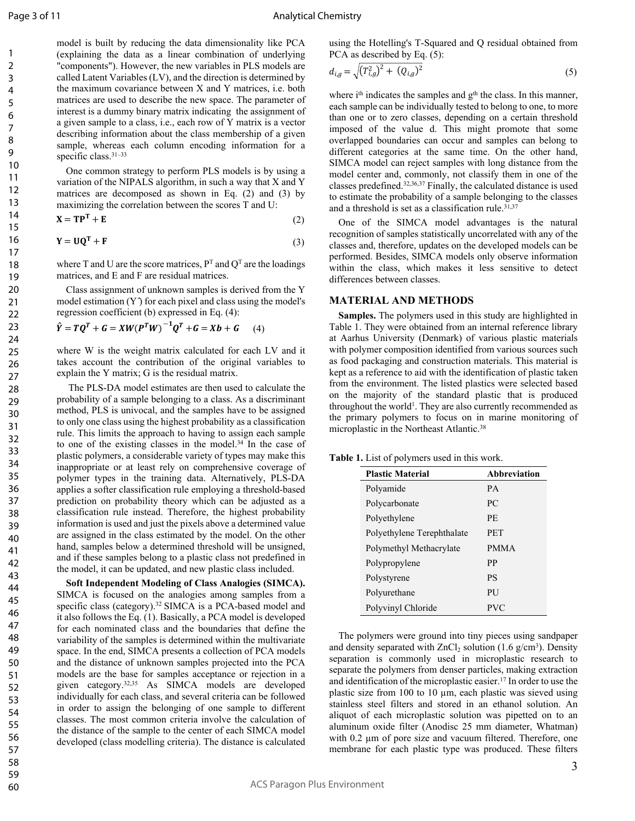model is built by reducing the data dimensionality like PCA (explaining the data as a linear combination of underlying "components"). However, the new variables in PLS models are called Latent Variables (LV), and the direction is determined by the maximum covariance between X and Y matrices, i.e. both matrices are used to describe the new space. The parameter of interest is a dummy binary matrix indicating the assignment of a given sample to a class, i.e., each row of Y matrix is a vector describing information about the class membership of a given sample, whereas each column encoding information for a specific class.<sup>31-33</sup>

One common strategy to perform PLS models is by using a variation of the NIPALS algorithm, in such a way that X and Y matrices are decomposed as shown in Eq. (2) and (3) by maximizing the correlation between the scores T and U:

$$
\mathbf{X} = \mathbf{T}\mathbf{P}^{\mathrm{T}} + \mathbf{E} \tag{2}
$$

$$
Y = UQ^{T} + F
$$
 (3)

where T and U are the score matrices,  $P<sup>T</sup>$  and  $Q<sup>T</sup>$  are the loadings matrices, and E and F are residual matrices.

Class assignment of unknown samples is derived from the Y model estimation  $(Y)$  for each pixel and class using the model's regression coefficient (b) expressed in Eq. (4):

$$
\hat{Y} = TQ^{T} + G = XW(P^{T}W)^{-1}Q^{T} + G = Xb + G \qquad (4)
$$

where W is the weight matrix calculated for each LV and it takes account the contribution of the original variables to explain the Y matrix; G is the residual matrix.

 The PLS-DA model estimates are then used to calculate the probability of a sample belonging to a class. As a discriminant method, PLS is univocal, and the samples have to be assigned to only one class using the highest probability as a classification rule. This limits the approach to having to assign each sample to one of the existing classes in the model.<sup>34</sup> In the case of plastic polymers, a considerable variety of types may make this inappropriate or at least rely on comprehensive coverage of polymer types in the training data. Alternatively, PLS-DA applies a softer classification rule employing a threshold-based prediction on probability theory which can be adjusted as a classification rule instead. Therefore, the highest probability information is used and just the pixels above a determined value are assigned in the class estimated by the model. On the other hand, samples below a determined threshold will be unsigned, and if these samples belong to a plastic class not predefined in the model, it can be updated, and new plastic class included.

**Soft Independent Modeling of Class Analogies (SIMCA).** SIMCA is focused on the analogies among samples from a specific class (category).<sup>32</sup> SIMCA is a PCA-based model and it also follows the Eq. (1). Basically, a PCA model is developed for each nominated class and the boundaries that define the variability of the samples is determined within the multivariate space. In the end, SIMCA presents a collection of PCA models and the distance of unknown samples projected into the PCA models are the base for samples acceptance or rejection in a given category.32,35 As SIMCA models are developed individually for each class, and several criteria can be followed in order to assign the belonging of one sample to different classes. The most common criteria involve the calculation of the distance of the sample to the center of each SIMCA model developed (class modelling criteria). The distance is calculated

using the Hotelling's T-Squared and Q residual obtained from PCA as described by Eq.  $(5)$ :

$$
d_{i,g} = \sqrt{(T_{i,g}^2)^2 + (Q_{i,g})^2} \tag{5}
$$

where  $i<sup>th</sup>$  indicates the samples and  $g<sup>th</sup>$  the class. In this manner, each sample can be individually tested to belong to one, to more than one or to zero classes, depending on a certain threshold imposed of the value d. This might promote that some overlapped boundaries can occur and samples can belong to different categories at the same time. On the other hand, SIMCA model can reject samples with long distance from the model center and, commonly, not classify them in one of the classes predefined.32,36,37 Finally, the calculated distance is used to estimate the probability of a sample belonging to the classes and a threshold is set as a classification rule.<sup>31,37</sup>

One of the SIMCA model advantages is the natural recognition of samples statistically uncorrelated with any of the classes and, therefore, updates on the developed models can be performed. Besides, SIMCA models only observe information within the class, which makes it less sensitive to detect differences between classes.

#### **MATERIAL AND METHODS**

**Samples.** The polymers used in this study are highlighted in Table 1. They were obtained from an internal reference library at Aarhus University (Denmark) of various plastic materials with polymer composition identified from various sources such as food packaging and construction materials. This material is kept as a reference to aid with the identification of plastic taken from the environment. The listed plastics were selected based on the majority of the standard plastic that is produced throughout the world<sup>1</sup>. They are also currently recommended as the primary polymers to focus on in marine monitoring of microplastic in the Northeast Atlantic.<sup>38</sup>

**Table 1.** List of polymers used in this work.

| <b>Plastic Material</b>    | Abbreviation |
|----------------------------|--------------|
| Polyamide                  | <b>PA</b>    |
| Polycarbonate              | PC.          |
| Polyethylene               | PE.          |
| Polyethylene Terephthalate | <b>PET</b>   |
| Polymethyl Methacrylate    | <b>PMMA</b>  |
| Polypropylene              | PP           |
| Polystyrene                | PS           |
| Polyurethane               | PU           |
| Polyvinyl Chloride         | PVC          |

The polymers were ground into tiny pieces using sandpaper and density separated with  $ZnCl<sub>2</sub>$  solution (1.6 g/cm<sup>3</sup>). Density separation is commonly used in microplastic research to separate the polymers from denser particles, making extraction and identification of the microplastic easier.<sup>17</sup> In order to use the plastic size from 100 to 10 µm, each plastic was sieved using stainless steel filters and stored in an ethanol solution. An aliquot of each microplastic solution was pipetted on to an aluminum oxide filter (Anodisc 25 mm diameter, Whatman) with 0.2 um of pore size and vacuum filtered. Therefore, one membrane for each plastic type was produced. These filters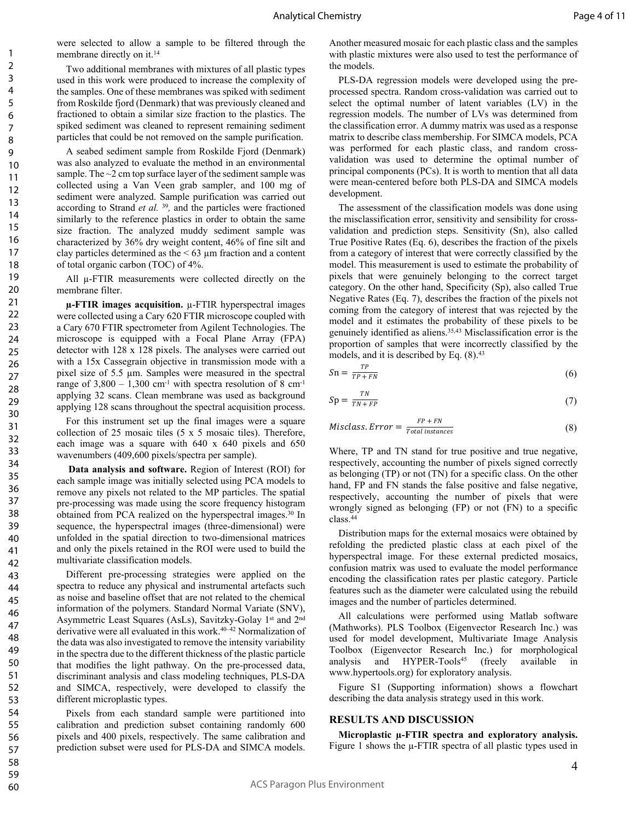were selected to allow a sample to be filtered through the membrane directly on it.<sup>14</sup>

Two additional membranes with mixtures of all plastic types used in this work were produced to increase the complexity of the samples. One of these membranes was spiked with sediment from Roskilde fjord (Denmark) that was previously cleaned and fractioned to obtain a similar size fraction to the plastics. The spiked sediment was cleaned to represent remaining sediment particles that could be not removed on the sample purification.

A seabed sediment sample from Roskilde Fjord (Denmark) was also analyzed to evaluate the method in an environmental sample. The ~2 cm top surface layer of the sediment sample was collected using a Van Veen grab sampler, and 100 mg of sediment were analyzed. Sample purification was carried out according to Strand *et al.* <sup>39</sup>, and the particles were fractioned similarly to the reference plastics in order to obtain the same size fraction. The analyzed muddy sediment sample was characterized by 36% dry weight content, 46% of fine silt and clay particles determined as the  $\leq 63$  µm fraction and a content of total organic carbon (TOC) of 4%.

All µ-FTIR measurements were collected directly on the membrane filter.

**µ-FTIR images acquisition.** µ-FTIR hyperspectral images were collected using a Cary 620 FTIR microscope coupled with a Cary 670 FTIR spectrometer from Agilent Technologies. The microscope is equipped with a Focal Plane Array (FPA) detector with 128 x 128 pixels. The analyses were carried out with a 15x Cassegrain objective in transmission mode with a pixel size of 5.5 µm. Samples were measured in the spectral range of  $3,800 - 1,300$  cm<sup>-1</sup> with spectra resolution of 8 cm<sup>-1</sup> applying 32 scans. Clean membrane was used as background applying 128 scans throughout the spectral acquisition process.

For this instrument set up the final images were a square collection of 25 mosaic tiles (5 x 5 mosaic tiles). Therefore, each image was a square with 640 x 640 pixels and 650 wavenumbers (409,600 pixels/spectra per sample).

**Data analysis and software.** Region of Interest (ROI) for each sample image was initially selected using PCA models to remove any pixels not related to the MP particles. The spatial pre-processing was made using the score frequency histogram obtained from PCA realized on the hyperspectral images.<sup>30</sup> In sequence, the hyperspectral images (three-dimensional) were unfolded in the spatial direction to two-dimensional matrices and only the pixels retained in the ROI were used to build the multivariate classification models.

Different pre-processing strategies were applied on the spectra to reduce any physical and instrumental artefacts such as noise and baseline offset that are not related to the chemical information of the polymers. Standard Normal Variate (SNV), Asymmetric Least Squares (AsLs), Savitzky-Golay 1<sup>st</sup> and 2<sup>nd</sup> derivative were all evaluated in this work.40–42 Normalization of the data was also investigated to remove the intensity variability in the spectra due to the different thickness of the plastic particle that modifies the light pathway. On the pre-processed data, discriminant analysis and class modeling techniques, PLS-DA and SIMCA, respectively, were developed to classify the different microplastic types.

Pixels from each standard sample were partitioned into calibration and prediction subset containing randomly 600 pixels and 400 pixels, respectively. The same calibration and prediction subset were used for PLS-DA and SIMCA models.

Another measured mosaic for each plastic class and the samples with plastic mixtures were also used to test the performance of the models.

PLS-DA regression models were developed using the preprocessed spectra. Random cross-validation was carried out to select the optimal number of latent variables (LV) in the regression models. The number of LVs was determined from the classification error. A dummy matrix was used as a response matrix to describe class membership. For SIMCA models, PCA was performed for each plastic class, and random crossvalidation was used to determine the optimal number of principal components (PCs). It is worth to mention that all data were mean-centered before both PLS-DA and SIMCA models development.

The assessment of the classification models was done using the misclassification error, sensitivity and sensibility for crossvalidation and prediction steps. Sensitivity (Sn), also called True Positive Rates (Eq. 6), describes the fraction of the pixels from a category of interest that were correctly classified by the model. This measurement is used to estimate the probability of pixels that were genuinely belonging to the correct target category. On the other hand, Specificity (Sp), also called True Negative Rates (Eq. 7), describes the fraction of the pixels not coming from the category of interest that was rejected by the model and it estimates the probability of these pixels to be genuinely identified as aliens.35,43 Misclassification error is the proportion of samples that were incorrectly classified by the models, and it is described by Eq.  $(8).^{43}$ 

$$
Sn = \frac{IP}{TP + FN} \tag{6}
$$

 $\overline{r}$ 

$$
Sp = \frac{TN}{TN + FP} \tag{7}
$$

$$
Miss class. Error = \frac{FP + FN}{Total instances}
$$
 (8)

Where, TP and TN stand for true positive and true negative, respectively, accounting the number of pixels signed correctly as belonging (TP) or not (TN) for a specific class. On the other hand, FP and FN stands the false positive and false negative, respectively, accounting the number of pixels that were wrongly signed as belonging (FP) or not (FN) to a specific class.<sup>44</sup>

Distribution maps for the external mosaics were obtained by refolding the predicted plastic class at each pixel of the hyperspectral image. For these external predicted mosaics, confusion matrix was used to evaluate the model performance encoding the classification rates per plastic category. Particle features such as the diameter were calculated using the rebuild images and the number of particles determined.

All calculations were performed using Matlab software (Mathworks). PLS Toolbox (Eigenvector Research Inc.) was used for model development, Multivariate Image Analysis Toolbox (Eigenvector Research Inc.) for morphological analysis and HYPER-Tools<sup>45</sup> (freely available in [www.hypertools.org\)](http://www.hypertools.org) for exploratory analysis.

Figure S1 (Supporting information) shows a flowchart describing the data analysis strategy used in this work.

#### **RESULTS AND DISCUSSION**

**Microplastic µ-FTIR spectra and exploratory analysis.** Figure 1 shows the  $\mu$ -FTIR spectra of all plastic types used in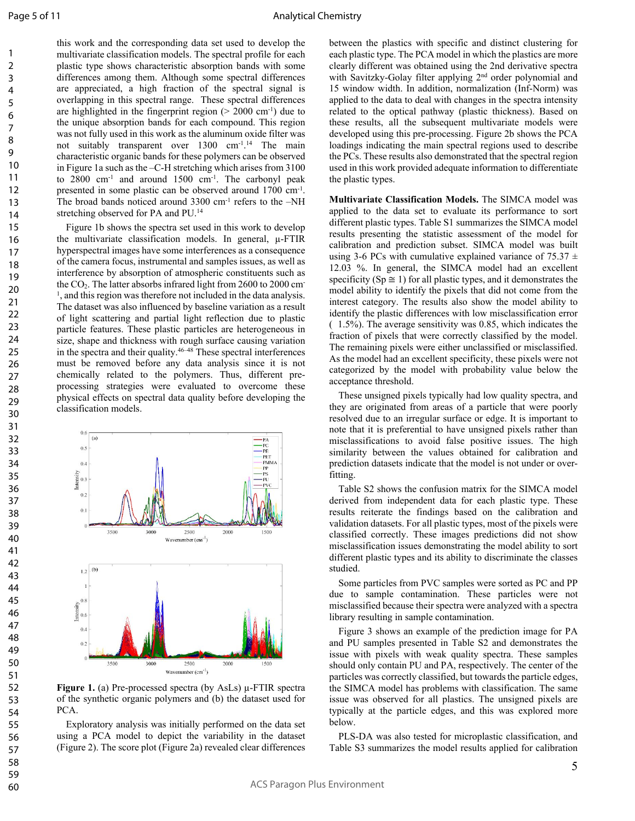this work and the corresponding data set used to develop the multivariate classification models. The spectral profile for each plastic type shows characteristic absorption bands with some differences among them. Although some spectral differences are appreciated, a high fraction of the spectral signal is overlapping in this spectral range. These spectral differences are highlighted in the fingerprint region  $(> 2000 \text{ cm}^{-1})$  due to the unique absorption bands for each compound. This region was not fully used in this work as the aluminum oxide filter was not suitably transparent over 1300 cm<sup>-1</sup>.<sup>14</sup> The main characteristic organic bands for these polymers can be observed in Figure 1a such as the –C-H stretching which arises from 3100 to 2800 cm-1 and around 1500 cm-1. The carbonyl peak presented in some plastic can be observed around 1700 cm-1 . The broad bands noticed around 3300 cm<sup>-1</sup> refers to the –NH stretching observed for PA and PU.<sup>14</sup>

Figure 1b shows the spectra set used in this work to develop the multivariate classification models. In general, µ-FTIR hyperspectral images have some interferences as a consequence of the camera focus, instrumental and samples issues, as well as interference by absorption of atmospheric constituents such as the  $CO<sub>2</sub>$ . The latter absorbs infrared light from 2600 to 2000 cm-<sup>1</sup>, and this region was therefore not included in the data analysis. The dataset was also influenced by baseline variation as a result of light scattering and partial light reflection due to plastic particle features. These plastic particles are heterogeneous in size, shape and thickness with rough surface causing variation in the spectra and their quality.46–48 These spectral interferences must be removed before any data analysis since it is not chemically related to the polymers. Thus, different preprocessing strategies were evaluated to overcome these physical effects on spectral data quality before developing the classification models.



**Figure 1.** (a) Pre-processed spectra (by AsLs)  $\mu$ -FTIR spectra of the synthetic organic polymers and (b) the dataset used for PCA.

Exploratory analysis was initially performed on the data set using a PCA model to depict the variability in the dataset (Figure 2). The score plot (Figure 2a) revealed clear differences

between the plastics with specific and distinct clustering for each plastic type. The PCA model in which the plastics are more clearly different was obtained using the 2nd derivative spectra with Savitzky-Golay filter applying 2<sup>nd</sup> order polynomial and 15 window width. In addition, normalization (Inf-Norm) was applied to the data to deal with changes in the spectra intensity related to the optical pathway (plastic thickness). Based on these results, all the subsequent multivariate models were developed using this pre-processing. Figure 2b shows the PCA loadings indicating the main spectral regions used to describe the PCs. These results also demonstrated that the spectral region used in this work provided adequate information to differentiate the plastic types.

**Multivariate Classification Models.** The SIMCA model was applied to the data set to evaluate its performance to sort different plastic types. Table S1 summarizes the SIMCA model results presenting the statistic assessment of the model for calibration and prediction subset. SIMCA model was built using 3-6 PCs with cumulative explained variance of 75.37  $\pm$ 12.03 %. In general, the SIMCA model had an excellent specificity ( $Sp \cong 1$ ) for all plastic types, and it demonstrates the model ability to identify the pixels that did not come from the interest category. The results also show the model ability to identify the plastic differences with low misclassification error ( 1.5%). The average sensitivity was 0.85, which indicates the fraction of pixels that were correctly classified by the model. The remaining pixels were either unclassified or misclassified. As the model had an excellent specificity, these pixels were not categorized by the model with probability value below the acceptance threshold.

These unsigned pixels typically had low quality spectra, and they are originated from areas of a particle that were poorly resolved due to an irregular surface or edge. It is important to note that it is preferential to have unsigned pixels rather than misclassifications to avoid false positive issues. The high similarity between the values obtained for calibration and prediction datasets indicate that the model is not under or overfitting.

Table S2 shows the confusion matrix for the SIMCA model derived from independent data for each plastic type. These results reiterate the findings based on the calibration and validation datasets. For all plastic types, most of the pixels were classified correctly. These images predictions did not show misclassification issues demonstrating the model ability to sort different plastic types and its ability to discriminate the classes studied.

Some particles from PVC samples were sorted as PC and PP due to sample contamination. These particles were not misclassified because their spectra were analyzed with a spectra library resulting in sample contamination.

Figure 3 shows an example of the prediction image for PA and PU samples presented in Table S2 and demonstrates the issue with pixels with weak quality spectra. These samples should only contain PU and PA, respectively. The center of the particles was correctly classified, but towards the particle edges, the SIMCA model has problems with classification. The same issue was observed for all plastics. The unsigned pixels are typically at the particle edges, and this was explored more below.

PLS-DA was also tested for microplastic classification, and Table S3 summarizes the model results applied for calibration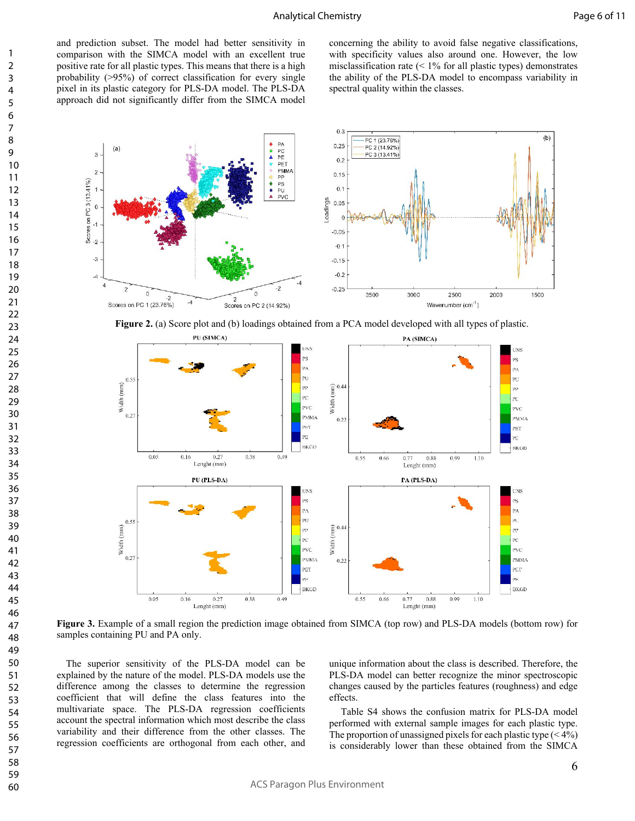and prediction subset. The model had better sensitivity in comparison with the SIMCA model with an excellent true positive rate for all plastic types. This means that there is a high probability (>95%) of correct classification for every single pixel in its plastic category for PLS-DA model. The PLS-DA approach did not significantly differ from the SIMCA model

concerning the ability to avoid false negative classifications, with specificity values also around one. However, the low misclassification rate  $($  < 1% for all plastic types) demonstrates the ability of the PLS-DA model to encompass variability in spectral quality within the classes.



**Figure 2.** (a) Score plot and (b) loadings obtained from a PCA model developed with all types of plastic.



**Figure 3.** Example of a small region the prediction image obtained from SIMCA (top row) and PLS-DA models (bottom row) for samples containing PU and PA only.

The superior sensitivity of the PLS-DA model can be explained by the nature of the model. PLS-DA models use the difference among the classes to determine the regression coefficient that will define the class features into the multivariate space. The PLS-DA regression coefficients account the spectral information which most describe the class variability and their difference from the other classes. The regression coefficients are orthogonal from each other, and

unique information about the class is described. Therefore, the PLS-DA model can better recognize the minor spectroscopic changes caused by the particles features (roughness) and edge effects.

 Table S4 shows the confusion matrix for PLS-DA model performed with external sample images for each plastic type. The proportion of unassigned pixels for each plastic type  $(< 4\%)$ is considerably lower than these obtained from the SIMCA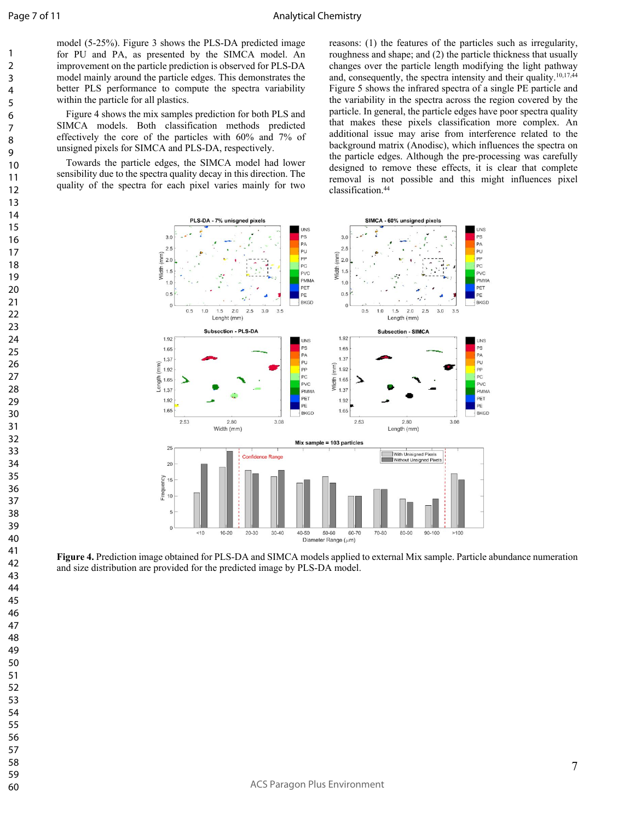model (5-25%). Figure 3 shows the PLS-DA predicted image for PU and PA, as presented by the SIMCA model. An improvement on the particle prediction is observed for PLS-DA model mainly around the particle edges. This demonstrates the better PLS performance to compute the spectra variability within the particle for all plastics.

Figure 4 shows the mix samples prediction for both PLS and SIMCA models. Both classification methods predicted effectively the core of the particles with 60% and 7% of unsigned pixels for SIMCA and PLS-DA, respectively.

Towards the particle edges, the SIMCA model had lower sensibility due to the spectra quality decay in this direction. The quality of the spectra for each pixel varies mainly for two

reasons: (1) the features of the particles such as irregularity, roughness and shape; and (2) the particle thickness that usually changes over the particle length modifying the light pathway and, consequently, the spectra intensity and their quality.10,17,44 Figure 5 shows the infrared spectra of a single PE particle and the variability in the spectra across the region covered by the particle. In general, the particle edges have poor spectra quality that makes these pixels classification more complex. An additional issue may arise from interference related to the background matrix (Anodisc), which influences the spectra on the particle edges. Although the pre-processing was carefully designed to remove these effects, it is clear that complete removal is not possible and this might influences pixel classification.<sup>44</sup>



**Figure 4.** Prediction image obtained for PLS-DA and SIMCA models applied to external Mix sample. Particle abundance numeration and size distribution are provided for the predicted image by PLS-DA model.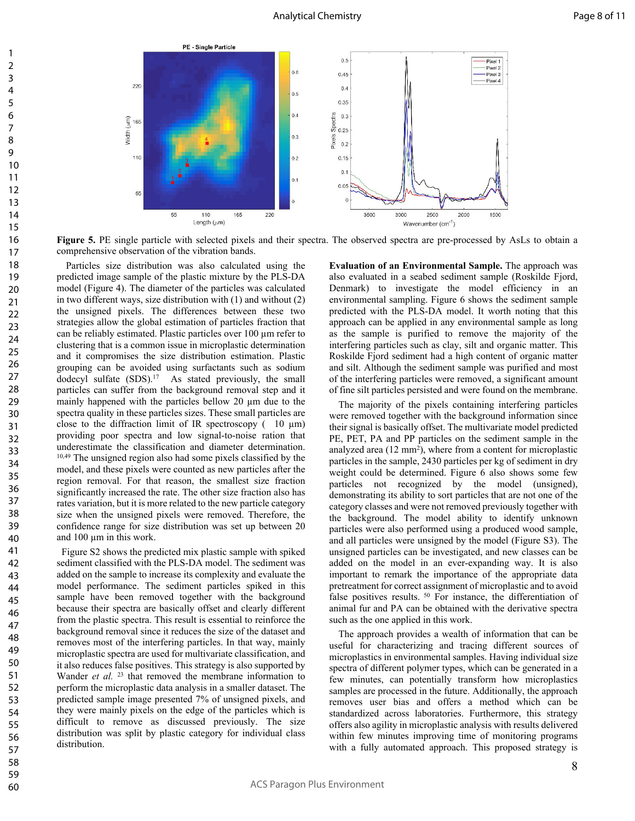

**Figure 5.** PE single particle with selected pixels and their spectra. The observed spectra are pre-processed by AsLs to obtain a comprehensive observation of the vibration bands.

Particles size distribution was also calculated using the predicted image sample of the plastic mixture by the PLS-DA model (Figure 4). The diameter of the particles was calculated in two different ways, size distribution with (1) and without (2) the unsigned pixels. The differences between these two strategies allow the global estimation of particles fraction that can be reliably estimated. Plastic particles over 100 µm refer to clustering that is a common issue in microplastic determination and it compromises the size distribution estimation. Plastic grouping can be avoided using surfactants such as sodium dodecyl sulfate (SDS).<sup>17</sup> As stated previously, the small particles can suffer from the background removal step and it mainly happened with the particles bellow 20 µm due to the spectra quality in these particles sizes. These small particles are close to the diffraction limit of IR spectroscopy  $(10 \mu m)$ providing poor spectra and low signal-to-noise ration that underestimate the classification and diameter determination. 10,49 The unsigned region also had some pixels classified by the model, and these pixels were counted as new particles after the region removal. For that reason, the smallest size fraction significantly increased the rate. The other size fraction also has rates variation, but it is more related to the new particle category size when the unsigned pixels were removed. Therefore, the confidence range for size distribution was set up between 20 and 100 µm in this work.

 Figure S2 shows the predicted mix plastic sample with spiked sediment classified with the PLS-DA model. The sediment was added on the sample to increase its complexity and evaluate the model performance. The sediment particles spiked in this sample have been removed together with the background because their spectra are basically offset and clearly different from the plastic spectra. This result is essential to reinforce the background removal since it reduces the size of the dataset and removes most of the interfering particles. In that way, mainly microplastic spectra are used for multivariate classification, and it also reduces false positives. This strategy is also supported by Wander *et al.* <sup>23</sup> that removed the membrane information to perform the microplastic data analysis in a smaller dataset. The predicted sample image presented 7% of unsigned pixels, and they were mainly pixels on the edge of the particles which is difficult to remove as discussed previously. The size distribution was split by plastic category for individual class distribution.

**Evaluation of an Environmental Sample.** The approach was also evaluated in a seabed sediment sample (Roskilde Fjord, Denmark) to investigate the model efficiency in an environmental sampling. Figure 6 shows the sediment sample predicted with the PLS-DA model. It worth noting that this approach can be applied in any environmental sample as long as the sample is purified to remove the majority of the interfering particles such as clay, silt and organic matter. This Roskilde Fjord sediment had a high content of organic matter and silt. Although the sediment sample was purified and most of the interfering particles were removed, a significant amount of fine silt particles persisted and were found on the membrane.

The majority of the pixels containing interfering particles were removed together with the background information since their signal is basically offset. The multivariate model predicted PE, PET, PA and PP particles on the sediment sample in the analyzed area (12 mm<sup>2</sup>), where from a content for microplastic particles in the sample, 2430 particles per kg of sediment in dry weight could be determined. Figure 6 also shows some few particles not recognized by the model (unsigned), demonstrating its ability to sort particles that are not one of the category classes and were not removed previously together with the background. The model ability to identify unknown particles were also performed using a produced wood sample, and all particles were unsigned by the model (Figure S3). The unsigned particles can be investigated, and new classes can be added on the model in an ever-expanding way. It is also important to remark the importance of the appropriate data pretreatment for correct assignment of microplastic and to avoid false positives results.<sup>50</sup> For instance, the differentiation of animal fur and PA can be obtained with the derivative spectra such as the one applied in this work.

The approach provides a wealth of information that can be useful for characterizing and tracing different sources of microplastics in environmental samples. Having individual size spectra of different polymer types, which can be generated in a few minutes, can potentially transform how microplastics samples are processed in the future. Additionally, the approach removes user bias and offers a method which can be standardized across laboratories. Furthermore, this strategy offers also agility in microplastic analysis with results delivered within few minutes improving time of monitoring programs with a fully automated approach. This proposed strategy is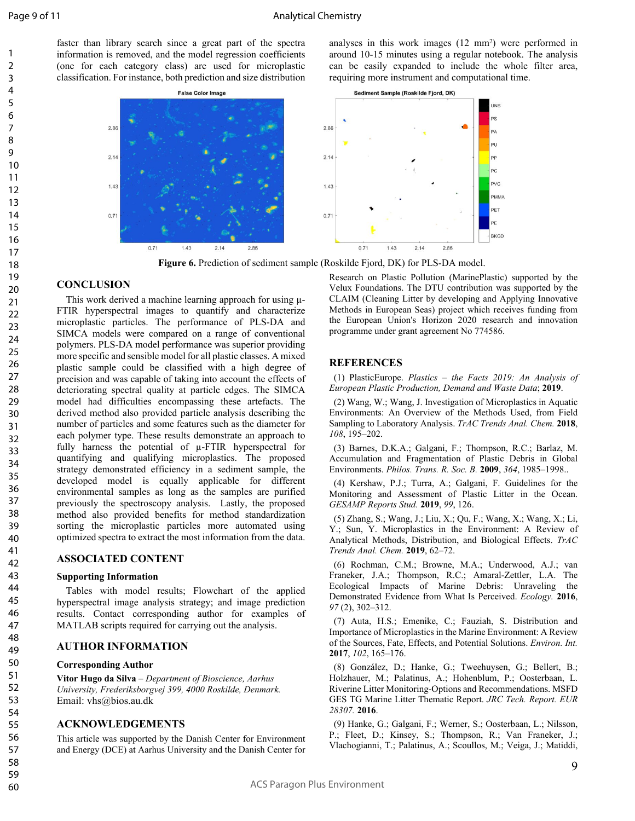faster than library search since a great part of the spectra information is removed, and the model regression coefficients (one for each category class) are used for microplastic classification. For instance, both prediction and size distribution

> **False Color Image**  $2.86$  $2.14$  $1.43$  $0.71$  $0.71$  $1.43$  $2.14$ 2.86

analyses in this work images (12 mm<sup>2</sup> ) were performed in around 10-15 minutes using a regular notebook. The analysis can be easily expanded to include the whole filter area, requiring more instrument and computational time.



**Figure 6.** Prediction of sediment sample (Roskilde Fjord, DK) for PLS-DA model.

#### **CONCLUSION**

This work derived a machine learning approach for using µ-FTIR hyperspectral images to quantify and characterize microplastic particles. The performance of PLS-DA and SIMCA models were compared on a range of conventional polymers. PLS-DA model performance was superior providing more specific and sensible model for all plastic classes. A mixed plastic sample could be classified with a high degree of precision and was capable of taking into account the effects of deteriorating spectral quality at particle edges. The SIMCA model had difficulties encompassing these artefacts. The derived method also provided particle analysis describing the number of particles and some features such as the diameter for each polymer type. These results demonstrate an approach to fully harness the potential of µ-FTIR hyperspectral for quantifying and qualifying microplastics. The proposed strategy demonstrated efficiency in a sediment sample, the developed model is equally applicable for different environmental samples as long as the samples are purified previously the spectroscopy analysis. Lastly, the proposed method also provided benefits for method standardization sorting the microplastic particles more automated using optimized spectra to extract the most information from the data.

#### **ASSOCIATED CONTENT**

#### **Supporting Information**

Tables with model results; Flowchart of the applied hyperspectral image analysis strategy; and image prediction results. Contact corresponding author for examples of MATLAB scripts required for carrying out the analysis.

#### **AUTHOR INFORMATION**

#### **Corresponding Author**

**Vitor Hugo da Silva** – *Department of Bioscience, Aarhus University, Frederiksborgvej 399, 4000 Roskilde, Denmark.* Email: vhs@bios.au.dk

#### **ACKNOWLEDGEMENTS**

This article was supported by the Danish Center for Environment and Energy (DCE) at Aarhus University and the Danish Center for

Research on Plastic Pollution (MarinePlastic) supported by the Velux Foundations. The DTU contribution was supported by the CLAIM (Cleaning Litter by developing and Applying Innovative Methods in European Seas) project which receives funding from the European Union's Horizon 2020 research and innovation programme under grant agreement No 774586.

#### **REFERENCES**

(1) PlasticEurope. *Plastics – the Facts 2019: An Analysis of European Plastic Production, Demand and Waste Data*; **2019**.

(2) Wang, W.; Wang, J. Investigation of Microplastics in Aquatic Environments: An Overview of the Methods Used, from Field Sampling to Laboratory Analysis. *TrAC Trends Anal. Chem.* **2018**, *108*, 195–202.

(3) Barnes, D.K.A.; Galgani, F.; Thompson, R.C.; Barlaz, M. Accumulation and Fragmentation of Plastic Debris in Global Environments. *Philos. Trans. R. Soc. B.* **2009**, *364*, 1985–1998..

(4) Kershaw, P.J.; Turra, A.; Galgani, F. Guidelines for the Monitoring and Assessment of Plastic Litter in the Ocean. *GESAMP Reports Stud.* **2019**, *99*, 126.

(5) Zhang, S.; Wang, J.; Liu, X.; Qu, F.; Wang, X.; Wang, X.; Li, Y.; Sun, Y. Microplastics in the Environment: A Review of Analytical Methods, Distribution, and Biological Effects. *TrAC Trends Anal. Chem.* **2019**, 62–72.

(6) Rochman, C.M.; Browne, M.A.; Underwood, A.J.; van Franeker, J.A.; Thompson, R.C.; Amaral-Zettler, L.A. The Ecological Impacts of Marine Debris: Unraveling the Demonstrated Evidence from What Is Perceived. *Ecology.* **2016**, *97* (2), 302–312.

(7) Auta, H.S.; Emenike, C.; Fauziah, S. Distribution and Importance of Microplastics in the Marine Environment: A Review of the Sources, Fate, Effects, and Potential Solutions. *Environ. Int.* **2017**, *102*, 165–176.

(8) González, D.; Hanke, G.; Tweehuysen, G.; Bellert, B.; Holzhauer, M.; Palatinus, A.; Hohenblum, P.; Oosterbaan, L. Riverine Litter Monitoring-Options and Recommendations. MSFD GES TG Marine Litter Thematic Report. *JRC Tech. Report. EUR 28307.* **2016**.

(9) Hanke, G.; Galgani, F.; Werner, S.; Oosterbaan, L.; Nilsson, P.; Fleet, D.; Kinsey, S.; Thompson, R.; Van Franeker, J.; Vlachogianni, T.; Palatinus, A.; Scoullos, M.; Veiga, J.; Matiddi,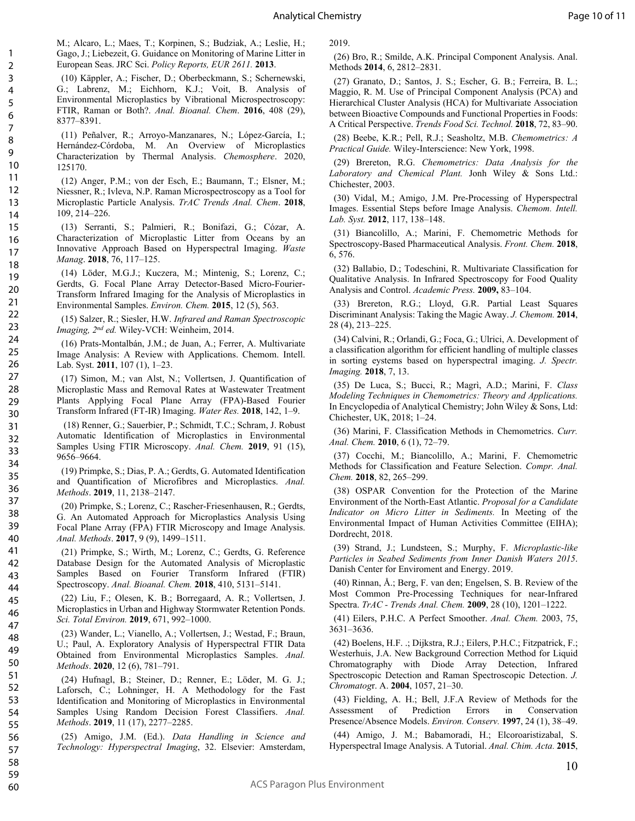M.; Alcaro, L.; Maes, T.; Korpinen, S.; Budziak, A.; Leslie, H.; Gago, J.; Liebezeit, G. Guidance on Monitoring of Marine Litter in European Seas. JRC Sci. *Policy Reports, EUR 2611.* **2013**.

(10) Käppler, A.; Fischer, D.; Oberbeckmann, S.; Schernewski, G.; Labrenz, M.; Eichhorn, K.J.; Voit, B. Analysis of Environmental Microplastics by Vibrational Microspectroscopy: FTIR, Raman or Both?. *Anal. Bioanal. Chem*. **2016**, 408 (29), 8377–8391.

(11) Peñalver, R.; Arroyo-Manzanares, N.; López-García, I.; Hernández-Córdoba, M. An Overview of Microplastics Characterization by Thermal Analysis. *Chemosphere*. 2020, 125170.

(12) Anger, P.M.; von der Esch, E.; Baumann, T.; Elsner, M.; Niessner, R.; Ivleva, N.P. Raman Microspectroscopy as a Tool for Microplastic Particle Analysis. *TrAC Trends Anal. Chem*. **2018**, 109, 214–226.

(13) Serranti, S.; Palmieri, R.; Bonifazi, G.; Cózar, A. Characterization of Microplastic Litter from Oceans by an Innovative Approach Based on Hyperspectral Imaging. *Waste Manag*. **2018**, 76, 117–125.

(14) Löder, M.G.J.; Kuczera, M.; Mintenig, S.; Lorenz, C.; Gerdts, G. Focal Plane Array Detector-Based Micro-Fourier-Transform Infrared Imaging for the Analysis of Microplastics in Environmental Samples. *Environ. Chem.* **2015**, 12 (5), 563.

(15) Salzer, R.; Siesler, H.W. *Infrared and Raman Spectroscopic Imaging, 2nd ed.* Wiley-VCH: Weinheim, 2014.

(16) Prats-Montalbán, J.M.; de Juan, A.; Ferrer, A. Multivariate Image Analysis: A Review with Applications. Chemom. Intell. Lab. Syst. **2011**, 107 (1), 1–23.

(17) Simon, M.; van Alst, N.; Vollertsen, J. Quantification of Microplastic Mass and Removal Rates at Wastewater Treatment Plants Applying Focal Plane Array (FPA)-Based Fourier Transform Infrared (FT-IR) Imaging. *Water Res.* **2018**, 142, 1–9.

 (18) Renner, G.; Sauerbier, P.; Schmidt, T.C.; Schram, J. Robust Automatic Identification of Microplastics in Environmental Samples Using FTIR Microscopy. *Anal. Chem.* **2019**, 91 (15), 9656–9664.

(19) Primpke, S.; Dias, P. A.; Gerdts, G. Automated Identification and Quantification of Microfibres and Microplastics. *Anal. Methods*. **2019**, 11, 2138–2147.

(20) Primpke, S.; Lorenz, C.; Rascher-Friesenhausen, R.; Gerdts, G. An Automated Approach for Microplastics Analysis Using Focal Plane Array (FPA) FTIR Microscopy and Image Analysis. *Anal. Methods*. **2017**, 9 (9), 1499–1511.

(21) Primpke, S.; Wirth, M.; Lorenz, C.; Gerdts, G. Reference Database Design for the Automated Analysis of Microplastic Samples Based on Fourier Transform Infrared (FTIR) Spectroscopy. *Anal. Bioanal. Chem.* **2018**, 410, 5131–5141.

(22) Liu, F.; Olesen, K. B.; Borregaard, A. R.; Vollertsen, J. Microplastics in Urban and Highway Stormwater Retention Ponds. *Sci. Total Environ.* **2019**, 671, 992–1000.

(23) Wander, L.; Vianello, A.; Vollertsen, J.; Westad, F.; Braun, U.; Paul, A. Exploratory Analysis of Hyperspectral FTIR Data Obtained from Environmental Microplastics Samples. *Anal. Methods*. **2020**, 12 (6), 781–791.

(24) Hufnagl, B.; Steiner, D.; Renner, E.; Löder, M. G. J.; Laforsch, C.; Lohninger, H. A Methodology for the Fast Identification and Monitoring of Microplastics in Environmental Samples Using Random Decision Forest Classifiers. *Anal. Methods*. **2019**, 11 (17), 2277–2285. 51 52 53 54 55

> (25) Amigo, J.M. (Ed.). *Data Handling in Science and Technology: Hyperspectral Imaging*, 32. Elsevier: Amsterdam,

2019.

(26) Bro, R.; Smilde, A.K. Principal Component Analysis. Anal. Methods **2014**, 6, 2812–2831.

(27) Granato, D.; Santos, J. S.; Escher, G. B.; Ferreira, B. L.; Maggio, R. M. Use of Principal Component Analysis (PCA) and Hierarchical Cluster Analysis (HCA) for Multivariate Association between Bioactive Compounds and Functional Properties in Foods: A Critical Perspective. *Trends Food Sci. Technol.* **2018**, 72, 83–90.

(28) Beebe, K.R.; Pell, R.J.; Seasholtz, M.B. *Chemometrics: A Practical Guide.* Wiley-Interscience: New York, 1998.

(29) Brereton, R.G. *Chemometrics: Data Analysis for the Laboratory and Chemical Plant.* Jonh Wiley & Sons Ltd.: Chichester, 2003.

(30) Vidal, M.; Amigo, J.M. Pre-Processing of Hyperspectral Images. Essential Steps before Image Analysis. *Chemom. Intell. Lab. Syst.* **2012**, 117, 138–148.

(31) Biancolillo, A.; Marini, F. Chemometric Methods for Spectroscopy-Based Pharmaceutical Analysis. *Front. Chem.* **2018**, 6, 576.

(32) Ballabio, D.; Todeschini, R. Multivariate Classification for Qualitative Analysis. In Infrared Spectroscopy for Food Quality Analysis and Control. *Academic Press.* **2009,** 83–104.

(33) Brereton, R.G.; Lloyd, G.R. Partial Least Squares Discriminant Analysis: Taking the Magic Away. *J. Chemom.* **2014**, 28 (4), 213–225.

(34) Calvini, R.; Orlandi, G.; Foca, G.; Ulrici, A. Development of a classification algorithm for efficient handling of multiple classes in sorting eystems based on hyperspectral imaging. *J. Spectr. Imaging.* **2018**, 7, 13.

(35) De Luca, S.; Bucci, R.; Magrì, A.D.; Marini, F. *Class Modeling Techniques in Chemometrics: Theory and Applications.* In Encyclopedia of Analytical Chemistry; John Wiley & Sons, Ltd: Chichester, UK, 2018; 1–24.

(36) Marini, F. Classification Methods in Chemometrics. *Curr. Anal. Chem.* **2010**, 6 (1), 72–79.

(37) Cocchi, M.; Biancolillo, A.; Marini, F. Chemometric Methods for Classification and Feature Selection. *Compr. Anal. Chem.* **2018**, 82, 265–299.

(38) OSPAR Convention for the Protection of the Marine Environment of the North-East Atlantic. *Proposal for a Candidate Indicator on Micro Litter in Sediments.* In Meeting of the Environmental Impact of Human Activities Committee (EIHA); Dordrecht, 2018.

(39) Strand, J.; Lundsteen, S.; Murphy, F. *Microplastic-like Particles in Seabed Sediments from Inner Danish Waters 2015*. Danish Center for Enviroment and Energy. 2019.

(40) Rinnan, Å.; Berg, F. van den; Engelsen, S. B. Review of the Most Common Pre-Processing Techniques for near-Infrared Spectra. *TrAC - Trends Anal. Chem.* **2009**, 28 (10), 1201–1222.

(41) Eilers, P.H.C. A Perfect Smoother. *Anal. Chem.* 2003, 75, 3631–3636.

(42) Boelens, H.F. .; Dijkstra, R.J.; Eilers, P.H.C.; Fitzpatrick, F.; Westerhuis, J.A. New Background Correction Method for Liquid Chromatography with Diode Array Detection, Infrared Spectroscopic Detection and Raman Spectroscopic Detection. *J. Chromatog*r. A. **2004**, 1057, 21–30.

(43) Fielding, A. H.; Bell, J.F.A Review of Methods for the Assessment of Prediction Errors in Conservation Presence/Absence Models. *Environ. Conserv.* **1997**, 24 (1), 38–49.

(44) Amigo, J. M.; Babamoradi, H.; Elcoroaristizabal, S. Hyperspectral Image Analysis. A Tutorial. *Anal. Chim. Acta.* **2015**,